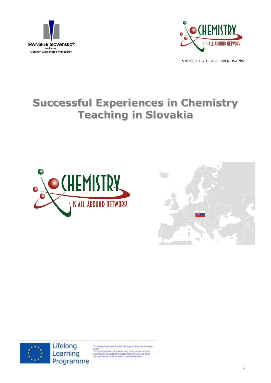



# **Successful Experiences in Chemistry Teaching in Slovakia**







is project has been funded with support from the European

Union<br>This material reflects the views only of the author, and the<br>Commission cannot be hield responsible for any use which<br>may be made of the information contained therein.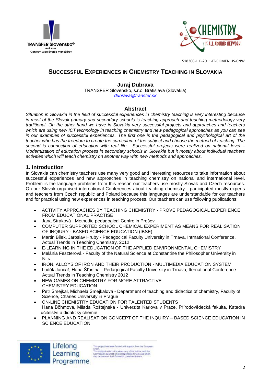



# **SUCCESSFUL EXPERIENCES IN CHEMISTRY TEACHING IN SLOVAKIA**

# **Juraj Dubrava**

TRANSFER Slovensko, s.r.o. Bratislava (Slovakia) *[dubrava@transfer.sk](mailto:dubrava@transfer.sk)*

# **Abstract**

*Situation in Slovakia in the field of successful experiences in chemistry teaching is very interesting because in most of the Slovak primary and secondary schools is teaching approach and teaching methodology very traditional. On the other hand we have in Slovakia very successful projects and approaches and teachers which are using new ICT technology in teaching chemistry and new pedagogical approaches as you can see in our examples of successful experiences. The first one is the pedagogical and psychological art of the teacher who has the freedom to create the curriculum of the subject and choose the method of teaching. The second is connection of education with real life. Successful projects were realized on national level – Modernization of education process in secondary schools in Slovakia but it mostly about individual teachers activities which will teach chemistry on another way with new methods and approaches.* 

# **1. Introduction**

In Slovakia can chemistry teachers use many very good and interesting resources to take information about successful experiences and new approaches in teaching chemistry on national and international level. Problem is the language problems from this reason our teachers use mostly Slovak and Czech resources. On our Slovak organised international Conferences about teaching chemistry participated mostly experts and teachers from Czech republic and Poland because this languages are understandable for our teachers and for practical using new experiences in teaching process. Our teachers can use following publications:

- ACTIVITY APPROACHES BY TEACHING CHEMISTRY PROVE PEDAGOGICAL EXPERIENCE FROM EDUCATIONAL PRACTISE
- Jana Straková Methodic-pedagogical Centre in Prešov
- COMPUTER SUPPORTED SCHOOL CHEMICAL EXPERIMENT AS MEANS FOR REALISATION OF INQIURY - BASED SCIENCE EDUCATION (IBSE)
- Martin Bilek, Jaroslav Hruby Pedagocical Faculty University in Trnava, Intrnational Conference, Actual Trends in Teaching Chemistry, 2012
- E-LEARNING IN THE EDUCATION OF THE APPLIED ENVIRONMENTAL CHEMISTRY
- Melánia Feszterová Faculty of the Natural Science at Constantine the Philosopher University in **Nitra**
- IRON, ALLOYS OF IRON AND THEIR PRODUCTION MULTIMEDIA EDUCATION SYSTEM
- Luděk Jančař, Hana Šťastna Pedagogical Faculty University in Trnava, Iternational Conference Actual Trends in Teaching Chemistry 2012
- NEW GAMES ON CHEMISTRY FOR MORE ATTRACTIVE CHEMISTRY EDUCATION
- Petr Šmejkal, Michaela Šmejkalová Department of teaching and didactics of chemistry, Faculty of Science, Charles University in Prague
- ON-LINE CHEMISTRY EDUCATION FOR TALENTED STUDENTS Hana Böhmová, Milada Roštejnská - Univerzita Karlova v Praze, Přírodovědecká fakulta, Katedra učitelství a didaktiky chemie
- PLANNING AND REALISATION CONCEPT OF THE INQUIRY BASED SCIENCE EDUCATION IN SCIENCE EDUCATION



Lifelong Learning Programme

his project has been funded with support from the European Union.<br>This material reflects the views only of the author, and the<br>Commission cannot be hild responsible for any use which<br>may be made of the information contained therein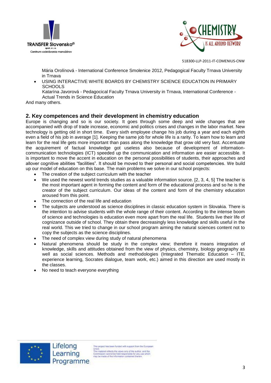



Mária Orolínová - International Conference Smolenice 2012, Pedagogical Faculty Trnava University in Trnava

 USING INTERACTIVE WHITE BOARDS BY CHEMISTRY SCIENCE EDUCATION IN PRIMARY **SCHOOLS** 

Katarína Javorová - Pedagocical Faculty Trnava University in Trnava, International Conference - Actual Trends in Science Education

And many others.

# **2. Key competences and their development in chemistry education**

Europe is changing and so is our society. It goes through some deep and wide changes that are accompanied with drop of trade increase, economic and politics crises and changes in the labor market. New technology is getting old in short time. Every sixth employee change his job during a year and each eighth even a field of his job in average [1]. Keeping the same job for whole life is a rarity. To learn how to learn and learn for the real life gets more important than pass along the knowledge that grow old very fast. Accentuate the acquirement of factual knowledge got useless also because of development of informationcommunication technologies (ICT) speeded up the communication and information are easier accessible. It is important to move the accent in education on the personal possibilities of students, their approaches and allover cognitive abilities "facilities". It should be moved to their personal and social competencies. We build up our model of education on this base. The main problems we solve in our school projects:

- The creation of the subject curriculum with the teacher
- We used the newest world trends studies as a valuable information source. [2, 3, 4, 5] The teacher is the most important agent in forming the content and form of the educational process and so he is the creator of the subject curriculum. Our ideas of the content and form of the chemistry education aroused from this point.
- The connection of the real life and education
- The subjects are understood as science disciplines in classic education system in Slovakia. There is the intention to advise students with the whole range of their content. According to the intense boom of science and technologies is education even more apart from the real life. Students live their life of cognizance outside of school. They obtain there decreasingly less knowledge and skills useful in the real world. This we tried to change in our school program aiming the natural sciences content not to copy the subjects as the science disciplines.
- The need of complex view during study of natural phenomena
- Natural phenomena should be study in the complex view; therefore it means integration of knowledge, skills and attitudes obtained from the view of physics, chemistry, biology geography as well as social sciences. Methods and methodologies (Integrated Thematic Education – ITE, experience learning, Socrates dialogue, team work, etc.) aimed in this direction are used mostly in the classes.
- No need to teach everyone everything



is project has been funded with support from the European Union<br>This material reflects the views only of the author, and the<br>Commission cannot be held responsible for any use which<br>may be made of the information contained therein.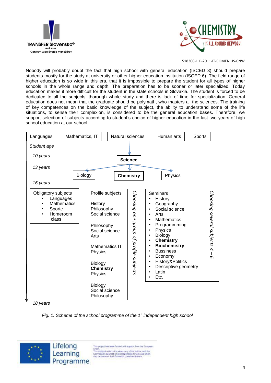



Nobody will probably doubt the fact that high school with general education (ISCED 3) should prepare students mostly for the study at university or other higher education institution (ISCED 6). The field range of higher education is so wide in this era, that it is impossible to prepare the student for all types of higher schools in the whole range and depth. The preparation has to be sooner or later specialized. Today education makes it more difficult for the student in the state schools in Slovakia. The student is forced to be dedicated to all the subjects' thorough whole study and there is lack of time for specialization. General education does not mean that the graduate should be polymath, who masters all the sciences. The training of key competences on the basic knowledge of the subject, the ability to understand some of the life situations, to sense their complexion, is considered to be the general education bases. Therefore, we support selection of subjects according to student's choice of higher education in the last two vears of high school education at our school.



*Fig. 1. Scheme of the school programme of the 1° independent high school*



This project has been funded with support from the European Union<br>This material reflects the views only of the author, and the<br>Commission cannot be held responsible for any use which<br>may be made of the information contained therein.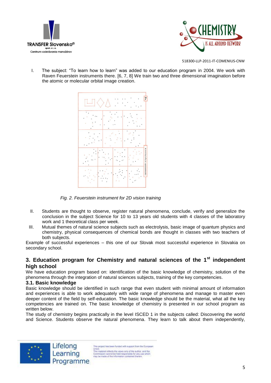



I. The subject: "To learn how to learn" was added to our education program in 2004. We work with Raven Feuerstein instruments there. [6, 7, 8] We train two and three dimensional imagination before the atomic or molecular orbital image creation.



*Fig. 2. Feuerstein instrument for 2D vision training*

- II. Students are thought to observe, register natural phenomena, conclude, verify and generalize the conclusion in the subject Science for 10 to 13 years old students with 4 classes of the laboratory work and 1 theoretical class per week.
- III. Mutual themes of natural science subjects such as electrolysis, basic image of quantum physics and chemistry, physical consequences of chemical bonds are thought in classes with two teachers of both subjects.

Example of successful experiences – this one of our Slovak most successful experience in Slovakia on secondary school.

# **3. Education program for Chemistry and natural sciences of the 1st independent high school**

We have education program based on: identification of the basic knowledge of chemistry, solution of the phenomena through the integration of natural sciences subjects, training of the key competencies.

# **3.1. Basic knowledge**

Basic knowledge should be identified in such range that even student with minimal amount of information and experiences is able to work adequately with wide range of phenomena and manage to master even deeper content of the field by self-education. The basic knowledge should be the material, what all the key competencies are trained on. The basic knowledge of chemistry is presented in our school program as written below.

The study of chemistry begins practically in the level ISCED 1 in the subjects called: Discovering the world and Science. Students observe the natural phenomena. They learn to talk about them independently,



Lifelong This project has been funded with support from the European Learning Union<br>This material reflects the views only of the author, and the<br>Commission cannot be held responsible for any use which<br>may be made of the information contained therein. Programme

5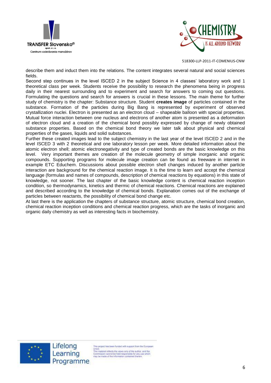



describe them and induct them into the relations. The content integrates several natural and social sciences fields.

Second step continues in the level ISCED 2 in the subject Science in 4 classes' laboratory work and 1 theoretical class per week. Students receive the possibility to research the phenomena being in progress daily in their nearest surrounding and to experiment and search for answers to coming out questions. Formulating the questions and search for answers is crucial in these lessons. The main theme for further study of chemistry is the chapter: Substance structure. Student **creates image** of particles contained in the substance. Formation of the particles during Big Bang is represented by experiment of observed crystallization nuclei. Electron is presented as an electron cloud – shapeable balloon with special properties. Mutual force interaction between one nucleus and electrons of another atom is presented as a deformation of electron cloud and a creation of the chemical bond possibly expressed by change of newly obtained substance properties. Based on the chemical bond theory we later talk about physical and chemical properties of the gases, liquids and solid substances.

Further these created images lead to the subject chemistry in the last year of the level ISCED 2 and in the level ISCED 3 with 2 theoretical and one laboratory lesson per week. More detailed information about the atomic electron shell; atomic electronegativity and type of created bonds are the basic knowledge on this level. Very important themes are creation of the molecule geometry of simple inorganic and organic compounds. Supporting programs for molecule image creation can be found as freeware in internet in example ETC Educhem. Discussions about possible electron shell changes induced by another particle interaction are background for the chemical reaction image. It is the time to learn and accept the chemical language (formulas and names of compounds, description of chemical reactions by equations) in this state of knowledge, not sooner. The last chapter of the basic knowledge content is chemical reaction inception condition, so thermodynamics, kinetics and thermic of chemical reactions. Chemical reactions are explained and described according to the knowledge of chemical bonds. Explanation comes out of the exchange of particles between reactants, the possibility of chemical bond change etc.

At last there is the application the chapters of substance structure, atomic structure, chemical bond creation, chemical reaction inception conditions and chemical reaction progress, which are the tasks of inorganic and organic daily chemistry as well as interesting facts in biochemistry.



Lifelong Learning Programme

is project has been funded with support from the European

Union<br>This material reflects the views only of the author, and the<br>Commission cannot be held responsible for any use which<br>may be made of the information contained therein.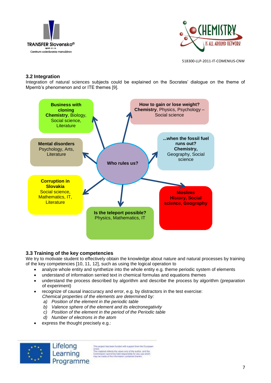



# **3.2 Integration**

Integration of natural sciences subjects could be explained on the Socrates' dialogue on the theme of Mpemb's phenomenon and or ITE themes [9].



# **3.3 Training of the key competencies**

We try to motivate student to effectively obtain the knowledge about nature and natural processes by training of the key competencies [10, 11, 12], such as using the logical operation to

- analyze whole entity and synthetize into the whole entity e.g. theme periodic system of elements
- understand of information serried text in chemical formulas and equations themes
- understand the process described by algorithm and describe the process by algorithm (preparation of experiment)
- recognize of causal inaccuracy and error, e.g. by distractors in the test exercise:

*Chemical properties of the elements are determined by:* 

- *a) Position of the element in the periodic table*
- *b) Valence sphere of the element and its electronegativity*
- *c) Position of the element in the period of the Periodic table*
- *d) Number of electrons in the atom*
- express the thought precisely e.g.:



This project has been funded with support from the European Union.<br>This material reflects the views only of the author, and the<br>Commission cannot be hild responsible for any use which<br>may be made of the information contained therein.

7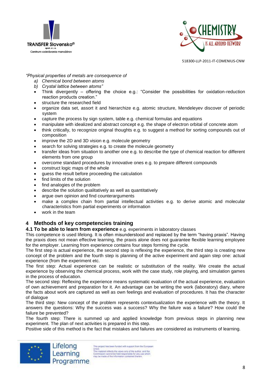



#### *"Physical properties of metals are consequence of*

- *a) Chemical bond between atoms*
- *b) Crystal lattice between atoms"*
- Think divergently offering the choice e.g.: "Consider the possibilities for oxidation-reduction reaction products creation."
- structure the researched field
- organize data set, assort it and hierarchize e.g. atomic structure, Mendeleyev discover of periodic system
- capture the process by sign system, table e.g. chemical formulas and equations
- manipulate with idealized and abstract concept e.g. the shape of electron orbital of concrete atom
- think critically, to recognize original thoughts e.g. to suggest a method for sorting compounds out of composition
- improve the 2D and 3D vision e.g. molecule geometry
- search for solving strategies e.g. to create the molecule geometry
- transfer ideas from situation to another one e.g. to describe the type of chemical reaction for different elements from one group
- overcome standard procedures by innovative ones e.g. to prepare different compounds
- construct logic maps of the whole
- guess the result before proceeding the calculation
- find limits of the solution
- find analogies of the problem
- describe the solution qualitatively as well as quantitatively
- argue own opinion and find counterarguments
- make a complex chain from partial intellectual activities e.g. to derive atomic and molecular characteristics from partial experiments or information
- work in the team

# **4 Methods of key competencies training**

#### **4.1 To be able to learn from experience** e.g. experiments in laboratory classes

This competence is used lifelong. It is often misunderstood and replaced by the term "having praxis". Having the praxis does not mean effective learning, the praxis alone does not guarantee flexible learning employee for the employer. Learning from experience contains four steps forming the cycle.

The first step is actual experience, the second step is reflexing the experience, the third step is creating new concept of the problem and the fourth step is planning of the active experiment and again step one: actual experience (from the experiment etc.

The first step: Actual experience can be realistic or substitution of the reality. We create the actual experience by observing the chemical process, work with the case study, role playing, and simulation games in the process of education.

The second step: Reflexing the experience means systematic evaluation of the actual experience, evaluation of own achievement and preparation for it. An advantage can be writing the work (laboratory) diary, where the facts about work are captured as well as own feelings and evaluation of procedures. It has the character of dialogue

The third step: New concept of the problem represents contextualization the experience with the theory. It answers the questions: Why the success was a success? Why the failure was a failure? How could the failure be prevented?

The fourth step: There is summed up and applied knowledge from previous steps in planning new experiment. The plan of next activities is prepared in this step.

Positive side of this method is the fact that mistakes and failures are considered as instruments of learning.



his project has been funded with support from the European Union.<br>
This material reflects the views only of the author, and the<br>
This material reflects the views only of the author, and the<br>
Formassion cannot be hidd responsible for any use which<br>
may be made of the information co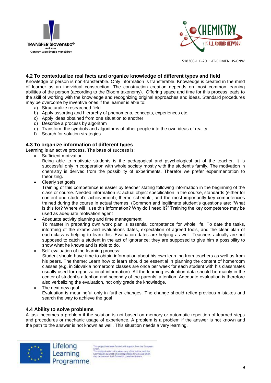



#### **4.2 To contextualize real facts and organize knowledge of different types and field**

Knowledge of person is non-transferable. Only information is transferable. Knowledge is created in the mind of learner as an individual construction. The construction creation depends on most common learning abilities of the person (according to the Bloom taxonomy). Offering space and time for this process leads to the skill of working with the knowledge and recognizing original approaches and ideas. Standard procedures may be overcome by inventive ones if the learner is able to:

- a) Structuralize researched field
- b) Apply assorting and hierarchy of phenomena, concepts, experiences etc.
- c) Apply ideas obtained from one situation to another
- d) Describe a process by algorithm
- e) Transform the symbols and algorithms of other people into the own ideas of reality
- f) Search for solution strategies

#### **4.3 To organize information of different types**

Learning is an active process. The base of success is:

Sufficient motivation

Being able to motivate students is the pedagogical and psychological art of the teacher. It is successful only in cooperation with whole society mostly with the student's family. The motivation in chemistry is derived from the possibility of experiments. Therefor we prefer experimentation to theorizing.

• Clearly set goals

Training of this competence is easier by teacher stating following information in the beginning of the class or course. Needed information is: actual object specification in the course, standards (either for content and student's achievement), theme schedule, and the most importantly key competencies trained during the course in actual themes. (Common and legitimate student's questions are: "What is this for? Where will I use this information? Why do I need it?" Training the key competence may be used as adequate motivation agent

- Adequate activity planning and time management To master in preparing own work plan is essential competence for whole life. To date the tasks, informing of the exams and evaluations dates, expectation of agreed tools, and the clear plan of each class is helping to learn this. Evaluation dates are helping as well. Teachers actually are not supposed to catch a student in the act of ignorance; they are supposed to give him a possibility to show what he knows and is able to do.
- Self-evaluation of the learning process: Student should have time to obtain information about his own learning from teachers as well as from his peers. The theme: Learn how to learn should be essential in planning the content of homeroom classes (e.g. in Slovakia homeroom classes are once per week for each student with his classmates usually used for organizational information). All the learning evaluation data should be mainly in the center of student's attention and secondly of the parents' attention. Adequate evaluation is therefore also verbalizing the evaluation, not only grade the knowledge.
- The next new goal Evaluation is meaningful only in further changes. The change should reflex previous mistakes and search the way to achieve the goal

# **4.4 Ability to solve problems**

A task becomes a problem if the solution is not based on memory or automatic repetition of learned steps and procedures or mechanic usage of experience. A problem is a problem if the answer is not known and the path to the answer is not known as well. This situation needs a very learning.



is project has been funded with support from the European Union<br>
This material reflects the views only of the author, and the<br>
This material reflects the views only of the author, and the<br>
Commission cannot be hisld responsible for any use which<br>
may be made of the information co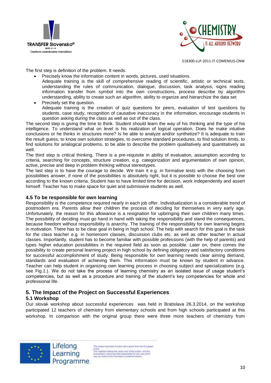



The first step is definition of the problem. It needs:

- Precisely know the information content in words, pictures, used situations.
	- Adequate training is the skill of comprehensive reading of scientific, artistic or technical texts, understanding the rules of communication, dialogue, discussion, task analysis, signs reading information transfer from symbol into the own constructions, process describe by algorithm understanding, ability to create such an algorithm, ability to organize and hierarchize the data set
- Precisely set the question. Adequate training is the creation of quiz questions for peers, evaluation of test questions by students, case study, recognition of causative inaccuracy in the information, encourage students in question asking during the class as well as out of the class.

The second step is giving the time to think. Student should learn the way of his thinking and the type of his intelligence. To understand what on level is his realization of logical operation. Does he make intuitive conclusions or he thinks in structures more? Is he able to analyze and/or synthetize? It is adequate to train the result guess, to know own solution strategies, to overcome standard procedures, to find solution limits, to find solutions for analogical problems, to be able to describe the problem qualitatively and quantitatively as well.

The third step is critical thinking. There is a pre-requisite in ability of evaluation, assumption according to criteria, searching for concepts, structure creation, e.g. categorization and argumentation of own opinion, active, precise and deep in problem thinking without stereotypes.

The last step is to have the courage to decide. We train it e.g. in formative tests with the choosing from possibilities answer, if none of the possibilities is absolutely right, but it is possible to choose the best one according to the known criteria. Student has to have limited time for decision, work independently and assert himself. Teacher has to make space for quiet and submissive students as well.

#### **4.5 To be responsible for own learning**

Responsibility is the competence required nearly in each job offer. Individualization is a considerable trend of postmodern era. Parents allow their children the process of deciding for themselves in very early age. Unfortunately, the reason for this allowance is a resignation for upbringing their own children many times. The possibility of deciding must go hand in hand with taking the responsibility and stand the consequences, because freedom without responsibility is anarchy. The training of the responsibility for own learning begins in motivation. There has to be clear goal in being in high school. The help with search for this goal is the task for the class teacher e.g. in homeroom classes, discussion clubs etc. as well as other teacher in actual classes. Importantly, student has to become familiar with possible professions (with the help of parents) and types higher education possibilities in the required field as soon as possible. Later on, there comes the possibility to create personal learning project in high school by defining obligatory and satisfactory conditions for successful accomplishment of study. Being responsible for own learning needs clear aiming demand, standards and evaluation of achieving them. This information must be known by student in advance. Teacher can help student in organizing own learning process in choosing subject and specializations (e.g. see Fig.1.). We do not take the process of learning chemistry as an isolated issue of usage student's competencies, but as well as a procedure and training of the student's key competencies for whole and professional life.

# **5. The Impact of the Project on Successful Experiences**

# **5.1 Workshop**

Our slovak workshop about successful experiences was held in Bratislava 26.3.2014, on the workshop participated 12 teachers of chemistry from elementary schools and from high schools participated at this workshop. In comparison with the original group there were three more teachers of chemistry from



Lifelong Learning Programme

his project has been funded with support from the European Union<br>This material reflects the views only of the author, and the<br>Commission cannot be held responsible for any use which<br>may be made of the information contained therein.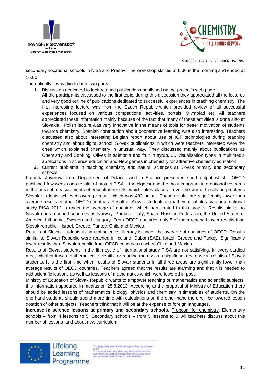



secondary vocational schools in Nitra and Prešov. The workshop started at 8.30 in the morning and ended at 16.00.

Thematically it was divided into two parts:

- 1. Discussion dedicated to lectures and publications published on the project's web page.
- All the participants discussed to the first topic, during this discussion they appreciated all the lectures and very good outline of publications dedicated to successful experiences in teaching chemistry. The first interesting lecture was from the Czech Republic which provided review of all successful experiences focused on various competitions, activities, portals, Olympiad etc. All teachers appreciated these information mainly because of the fact that many of these activities is done also at Slovakia. Polish lecture was very innovative in the means of tools for better motivation of students towards chemistry. Spanish contribution about cooperative learning was also interesting. Teachers discussed also about interesting Belgian report about use of ICT technologies during teaching chemistry and about digital school. Slovak publications in which were teachers interested were the ones which explained chemistry in unusual way. They discussed mainly about publications as Chemistry and Cooking, Olives in salmonia and fruit in syrup, 3D visualisation types in multimedia applications in science education and New games in chemistry for attractive chemistry education.
- **2.** Current problems in teaching chemistry and natural sciences at Slovak primary and secondary schools

Katarina Javorova from Department of Didactic and in Science presented short output which OECD published few weeks ago results of project PISA – the biggest and the most important international research in the area of measurements of education results, which takes place all over the world. In solving problems Slovak students achieved average result which was 483 points. These results are significantly lower than average results in other OECD countries. Result of Slovak students in mathematical literacy of international study PISA 2012 is under the average of countries which participated in this project. Results similar to Slovak ones reached countries as Norway, Portugal, Italy, Spain, Russian Federation, the United States of America, Lithuania, Sweden and Hungary. From OECD countries only 5 of them reached lower results than Slovak republic – Israel, Greece, Turkey, Chile and Mexico.

Results of Slovak students in natural sciences literacy is under the average of countries of OECD. Results similar to Slovak Republic were reached in Iceland, Dubai (SAE), Israel, Greece and Turkey. Significantly lower results than Slovak republic from OECD countries reached Chile and Mexico.

Results of Slovak students in the fifth cycle of international study PISA are not satisfying. In every studied area, whether it was mathematical, scientific or reading there was a significant decrease in results of Slovak students. It is the first time when results of Slovak students in all three areas are significantly lower than average results of OECD countries. Teachers agreed that the results are alarming and that it is needed to add scientific lessons as well as lessons of mathematics which were lowered in past.

Ministry of Education of Slovak Republic wants to empower teaching of mathematics and scientific subjects, this information appeared in medias on 25.8.2013: According to the proposal of Ministry of Education there should be added lessons of mathematics, biology, physics and chemistry in timetables of students. On the one hand students should spend more time with calculations on the other hand there will be lowered lesson dotation of other subjects. Teachers think that it will be at the expense of foreign languages.

**Increase in science lessons at primary and secondary schools.** Proposal for chemistry: Elementary schools – from 4 lessons to 5, Secondary schools – from 5 lessons to 6. All teachers discuss about this number of lessons and about new curriculum.



Lifelong Learning Programme

his project has been funded with support from the European Union.<br>This material reflects the views only of the author, and the<br>Commission cannot be held responsible for any use which<br>may be made of the information contained therein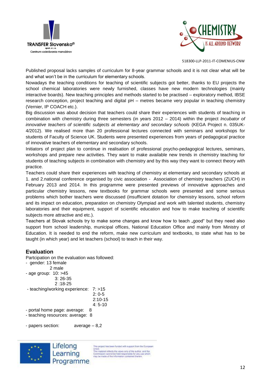



Published proposal lacks samples of curriculum for 8-year grammar schools and it is not clear what will be and what won't be in the curriculum for elementary schools.

Nowadays the teaching conditions for teaching of scientific subjects got better, thanks to EU projects the school chemical laboratories were newly furnished, classes have new modern technologies (mainly interactive boards). New teaching principles and methods started to be practised – exploratory method, IBSE research conception, project teaching and digital pH – metres became very popular in teaching chemistry (Vernier, IP COACH etc.).

Big discussion was about decision that teachers could share their experiences with students of teaching in combination with chemistry during three semesters (in years 2012 – 2014) within the project *Incubator of innovative teachers of scientific subjects at elementary and secondary schools (KEGA Project n. 035UK-*4/2012). We realised more than 20 professional lectures connected with seminars and workshops for students of Faculty of Science UK. Students were presented experiences from years of pedagogical practice of innovative teachers of elementary and secondary schools.

Initiators of project plan to continue in realisation of professional psycho-pedagogical lectures, seminars, workshops and prepare new activities. They want to make available new trends in chemistry teaching for students of teaching subjects in combination with chemistry and by this way they want to connect theory with practice.

Teachers could share their experiences with teaching of chemistry at elementary and secondary schools at 1. and 2.national conference organised by civic association - Association of chemistry teachers (ZUCH) in February 2013 and 2014. In this programme were presented previews of innovative approaches and particular chemistry lessons, new textbooks for grammar schools were presented and some serious problems which bother teachers were discussed (insufficient dotation for chemistry lessons, school reform and its impact on education, preparation on chemistry Olympiad and work with talented students, chemistry laboratories and their equipment, support of scientific education and how to make teaching of scientific subjects more attractive and etc.).

Teachers at Slovak schools try to make some changes and know how to teach "good" but they need also support from school leadership, municipal offices, National Education Office and mainly from Ministry of Education. It is needed to end the reform, make new curriculum and textbooks, to state what has to be taught (in which year) and let teachers (school) to teach in their way.

# **Evaluation**

Partcipation on the evaluation was followed:

```
- gender: 13 female 
             2 male
- age group: 10: >45
               3: 26-35
               2 :18-25
- teaching/working experience: 7: >15
                                  2: 0-5
                                  2:10-15
                                  4: 5-10
- portal home page: average: 8
```
- teaching resources: average: 8

- papers section: average – 8,2



This project has been funded with support from the European Union<br>This material reflects the views only of the author, and the<br>Commission cannot be hild responsible for any use which<br>may be made of the information contained therein